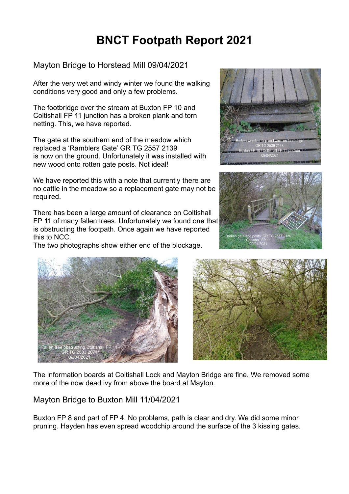## **BNCT Footpath Report 2021**

## Mayton Bridge to Horstead Mill 09/04/2021

After the very wet and windy winter we found the walking conditions very good and only a few problems.

The footbridge over the stream at Buxton FP 10 and Coltishall FP 11 junction has a broken plank and torn netting. This, we have reported.

The gate at the southern end of the meadow which replaced a 'Ramblers Gate' GR TG 2557 2139 is now on the ground. Unfortunately it was installed with new wood onto rotten gate posts. Not ideal!

We have reported this with a note that currently there are no cattle in the meadow so a replacement gate may not be required.

There has been a large amount of clearance on Coltishall FP 11 of many fallen trees. Unfortunately we found one that is obstructing the footpath. Once again we have reported this to NCC.

The two photographs show either end of the blockage.









The information boards at Coltishall Lock and Mayton Bridge are fine. We removed some more of the now dead ivy from above the board at Mayton.

## Mayton Bridge to Buxton Mill 11/04/2021

Buxton FP 8 and part of FP 4. No problems, path is clear and dry. We did some minor pruning. Hayden has even spread woodchip around the surface of the 3 kissing gates.